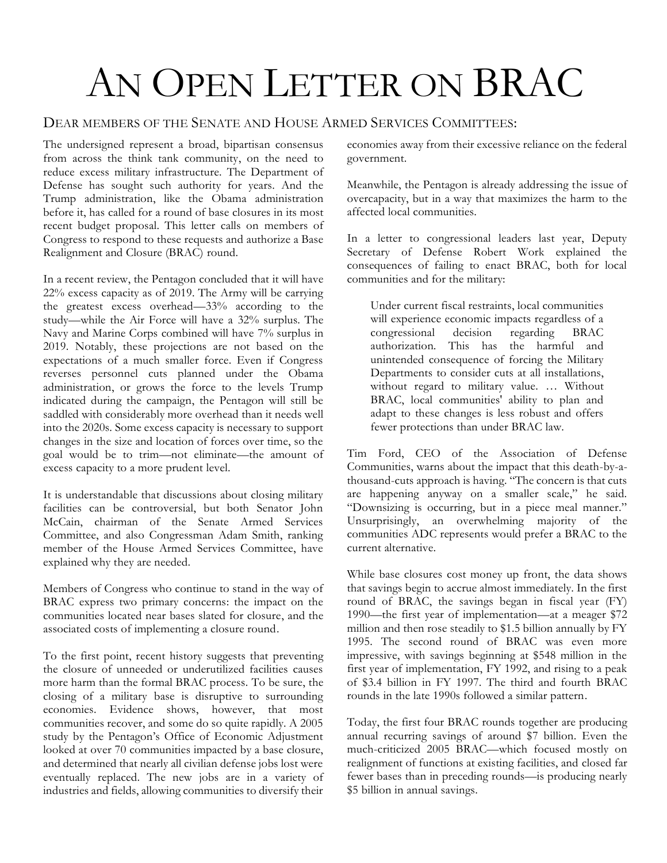## AN OPEN LETTER ON BRAC

## DEAR MEMBERS OF THE SENATE AND HOUSE ARMED SERVICES COMMITTEES:

The undersigned represent a broad, bipartisan consensus from across the think tank community, on the need to reduce excess military infrastructure. The Department of Defense has sought such authority for years. And the Trump administration, like the Obama administration before it, has called for a round of base closures in its most recent budget proposal. This letter calls on members of Congress to respond to these requests and authorize a Base Realignment and Closure (BRAC) round.

In a recent review, the Pentagon concluded that it will have 22% excess capacity as of 2019. The Army will be carrying the greatest excess overhead—33% according to the study—while the Air Force will have a 32% surplus. The Navy and Marine Corps combined will have 7% surplus in 2019. Notably, these projections are not based on the expectations of a much smaller force. Even if Congress reverses personnel cuts planned under the Obama administration, or grows the force to the levels Trump indicated during the campaign, the Pentagon will still be saddled with considerably more overhead than it needs well into the 2020s. Some excess capacity is necessary to support changes in the size and location of forces over time, so the goal would be to trim—not eliminate—the amount of excess capacity to a more prudent level.

It is understandable that discussions about closing military facilities can be controversial, but both Senator John McCain, chairman of the Senate Armed Services Committee, and also Congressman Adam Smith, ranking member of the House Armed Services Committee, have explained why they are needed.

Members of Congress who continue to stand in the way of BRAC express two primary concerns: the impact on the communities located near bases slated for closure, and the associated costs of implementing a closure round.

To the first point, recent history suggests that preventing the closure of unneeded or underutilized facilities causes more harm than the formal BRAC process. To be sure, the closing of a military base is disruptive to surrounding economies. Evidence shows, however, that most communities recover, and some do so quite rapidly. A 2005 study by the Pentagon's Office of Economic Adjustment looked at over 70 communities impacted by a base closure, and determined that nearly all civilian defense jobs lost were eventually replaced. The new jobs are in a variety of industries and fields, allowing communities to diversify their

economies away from their excessive reliance on the federal government.

Meanwhile, the Pentagon is already addressing the issue of overcapacity, but in a way that maximizes the harm to the affected local communities.

In a letter to congressional leaders last year, Deputy Secretary of Defense Robert Work explained the consequences of failing to enact BRAC, both for local communities and for the military:

Under current fiscal restraints, local communities will experience economic impacts regardless of a congressional decision regarding BRAC authorization. This has the harmful and unintended consequence of forcing the Military Departments to consider cuts at all installations, without regard to military value. … Without BRAC, local communities' ability to plan and adapt to these changes is less robust and offers fewer protections than under BRAC law.

Tim Ford, CEO of the Association of Defense Communities, warns about the impact that this death-by-athousand-cuts approach is having. "The concern is that cuts are happening anyway on a smaller scale," he said. "Downsizing is occurring, but in a piece meal manner." Unsurprisingly, an overwhelming majority of the communities ADC represents would prefer a BRAC to the current alternative.

While base closures cost money up front, the data shows that savings begin to accrue almost immediately. In the first round of BRAC, the savings began in fiscal year (FY) 1990—the first year of implementation—at a meager \$72 million and then rose steadily to \$1.5 billion annually by FY 1995. The second round of BRAC was even more impressive, with savings beginning at \$548 million in the first year of implementation, FY 1992, and rising to a peak of \$3.4 billion in FY 1997. The third and fourth BRAC rounds in the late 1990s followed a similar pattern.

Today, the first four BRAC rounds together are producing annual recurring savings of around \$7 billion. Even the much-criticized 2005 BRAC—which focused mostly on realignment of functions at existing facilities, and closed far fewer bases than in preceding rounds—is producing nearly \$5 billion in annual savings.